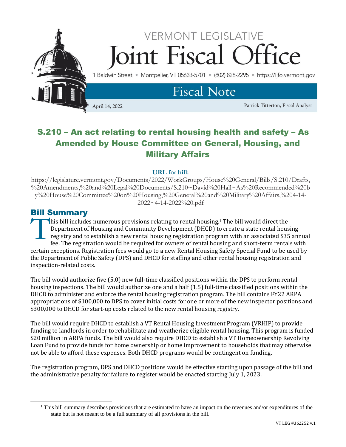

# S.210 – An act relating to rental housing health and safety – As Amended by House Committee on General, Housing, and Military Affairs

#### **URL for bill:**

https://legislature.vermont.gov/Documents/2022/WorkGroups/House%20General/Bills/S.210/Drafts, %20Amendments,%20and%20Legal%20Documents/S.210~David%20Hall~As%20Recommended%20b y%20House%20Committee%20on%20Housing,%20General%20and%20Military%20Affairs,%204-14- 2022~4-14-2022%20.pdf

### Bill Summary

his bill includes numerous provisions relating to rental housing.<sup>1</sup> The bill would direct the Department of Housing and Community Development (DHCD) to create a state rental housing registry and to establish a new rental housing registration program with an associated \$35 annual fee. The registration would be required for owners of rental housing and short-term rentals with certain exceptions. Registration fees would go to a new Rental Housing Safety Special Fund to be used by the Department of Public Safety (DPS) and DHCD for staffing and other rental housing registration and inspection-related costs. T<br>T

The bill would authorize five (5.0) new full-time classified positions within the DPS to perform rental housing inspections. The bill would authorize one and a half (1.5) full-time classified positions within the DHCD to administer and enforce the rental housing registration program. The bill contains FY22 ARPA appropriations of \$100,000 to DPS to cover initial costs for one or more of the new inspector positions and \$300,000 to DHCD for start-up costs related to the new rental housing registry.

The bill would require DHCD to establish a VT Rental Housing Investment Program (VRHIP) to provide funding to landlords in order to rehabilitate and weatherize eligible rental housing. This program is funded \$20 million in ARPA funds. The bill would also require DHCD to establish a VT Homeownership Revolving Loan Fund to provide funds for home ownership or home improvement to households that may otherwise not be able to afford these expenses. Both DHCD programs would be contingent on funding.

The registration program, DPS and DHCD positions would be effective starting upon passage of the bill and the administrative penalty for failure to register would be enacted starting July 1, 2023.

<sup>&</sup>lt;sup>1</sup> This bill summary describes provisions that are estimated to have an impact on the revenues and/or expenditures of the state but is not meant to be a full summary of all provisions in the bill.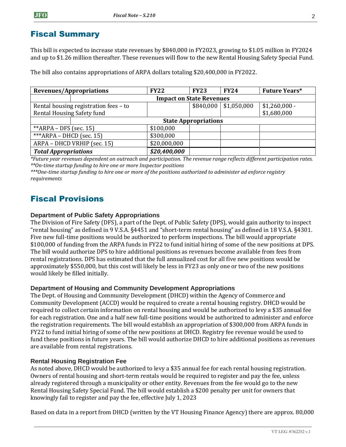## Fiscal Summary

This bill is expected to increase state revenues by \$840,000 in FY2023, growing to \$1.05 million in FY2024 and up to \$1.26 million thereafter. These revenues will flow to the new Rental Housing Safety Special Fund.

The bill also contains appropriations of ARPA dollars totaling \$20,400,000 in FY2022.

| Revenues/Appropriations               |                                 | <b>FY22</b>  | <b>FY23</b> | <b>FY24</b> | <b>Future Years*</b> |
|---------------------------------------|---------------------------------|--------------|-------------|-------------|----------------------|
|                                       | <b>Impact on State Revenues</b> |              |             |             |                      |
| Rental housing registration fees - to |                                 |              | \$840,000   | \$1,050,000 | $$1,260,000 -$       |
| Rental Housing Safety fund            |                                 |              |             |             | \$1,680,000          |
|                                       | <b>State Appropriations</b>     |              |             |             |                      |
| ** $ARPA$ – DFS (sec. 15)             |                                 | \$100,000    |             |             |                      |
| *** $ARPA - DHCD$ (sec. 15)           |                                 | \$300,000    |             |             |                      |
| ARPA - DHCD VRHIP (sec. 15)           |                                 | \$20,000,000 |             |             |                      |
| <b>Total Appropriations</b>           |                                 | \$20,400,000 |             |             |                      |

*\*Future year revenues dependent on outreach and participation. The revenue range reflects different participation rates. \*\*On-time startup funding to hire one or more Inspector positions* 

*\*\*\*One-time startup funding to hire one or more of the positions authorized to administer ad enforce registry requirements*

## Fiscal Provisions

### **Department of Public Safety Appropriations**

The Division of Fire Safety (DFS), a part of the Dept. of Public Safety (DPS), would gain authority to inspect "rental housing" as defined in 9 V.S.A. §4451 and "short-term rental housing" as defined in 18 V.S.A. §4301. Five new full-time positions would be authorized to perform inspections. The bill would appropriate \$100,000 of funding from the ARPA funds in FY22 to fund initial hiring of some of the new positions at DPS. The bill would authorize DPS to hire additional positions as revenues become available from fees from rental registrations. DPS has estimated that the full annualized cost for all five new positions would be approximately \$550,000, but this cost will likely be less in FY23 as only one or two of the new positions would likely be filled initially.

#### **Department of Housing and Community Development Appropriations**

The Dept. of Housing and Community Development (DHCD) within the Agency of Commerce and Community Development (ACCD) would be required to create a rental housing registry. DHCD would be required to collect certain information on rental housing and would be authorized to levy a \$35 annual fee for each registration. One and a half new full-time positions would be authorized to administer and enforce the registration requirements. The bill would establish an appropriation of \$300,000 from ARPA funds in FY22 to fund initial hiring of some of the new positions at DHCD. Registry fee revenue would be used to fund these positions in future years. The bill would authorize DHCD to hire additional positions as revenues are available from rental registrations.

### **Rental Housing Registration Fee**

As noted above, DHCD would be authorized to levy a \$35 annual fee for each rental housing registration. Owners of rental housing and short-term rentals would be required to register and pay the fee, unless already registered through a municipality or other entity. Revenues from the fee would go to the new Rental Housing Safety Special Fund. The bill would establish a \$200 penalty per unit for owners that knowingly fail to register and pay the fee, effective July 1, 2023

Based on data in a report from DHCD (written by the VT Housing Finance Agency) there are approx. 80,000